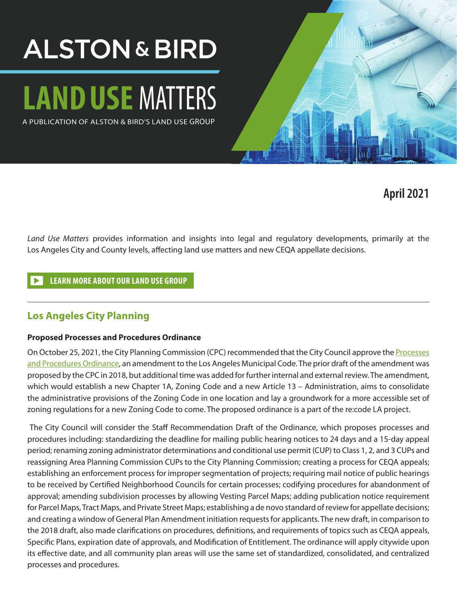## **ALSTON & BIRD**

# **LANDUSE** MATTERS

A PUBLICATION OF ALSTON & BIRD'S LAND USE GROUP



**April 2021**

*Land Use Matters* provides information and insights into legal and regulatory developments, primarily at the Los Angeles City and County levels, affecting land use matters and new CEQA appellate decisions.

#### **[LEARN MORE ABOUT OUR LAND USE GROUP](https://www.alston.com/en/services/practices/regulatory-specialty/environment-land-use--natural-resources/land-use)**

#### **Los Angeles City Planning**

#### **Proposed Processes and Procedures Ordinance**

On October 25, 2021, the City Planning Commission (CPC) recommended that the City Council approve the Processes [and Procedures Ordinance](https://planning.lacity.org/odocument/0f14a41a-96a8-4461-a78d-2d5782dca943/Draft_Ordinance.pdf), an amendment to the Los Angeles Municipal Code. The prior draft of the amendment was proposed by the CPC in 2018, but additional time was added for further internal and external review. The amendment, which would establish a new Chapter 1A, Zoning Code and a new Article 13 – Administration, aims to consolidate the administrative provisions of the Zoning Code in one location and lay a groundwork for a more accessible set of zoning regulations for a new Zoning Code to come. The proposed ordinance is a part of the re:code LA project.

 The City Council will consider the Staff Recommendation Draft of the Ordinance, which proposes processes and procedures including: standardizing the deadline for mailing public hearing notices to 24 days and a 15-day appeal period; renaming zoning administrator determinations and conditional use permit (CUP) to Class 1, 2, and 3 CUPs and reassigning Area Planning Commission CUPs to the City Planning Commission; creating a process for CEQA appeals; establishing an enforcement process for improper segmentation of projects; requiring mail notice of public hearings to be received by Certified Neighborhood Councils for certain processes; codifying procedures for abandonment of approval; amending subdivision processes by allowing Vesting Parcel Maps; adding publication notice requirement for Parcel Maps, Tract Maps, and Private Street Maps; establishing a de novo standard of review for appellate decisions; and creating a window of General Plan Amendment initiation requests for applicants. The new draft, in comparison to the 2018 draft, also made clarifications on procedures, definitions, and requirements of topics such as CEQA appeals, Specific Plans, expiration date of approvals, and Modification of Entitlement. The ordinance will apply citywide upon its effective date, and all community plan areas will use the same set of standardized, consolidated, and centralized processes and procedures.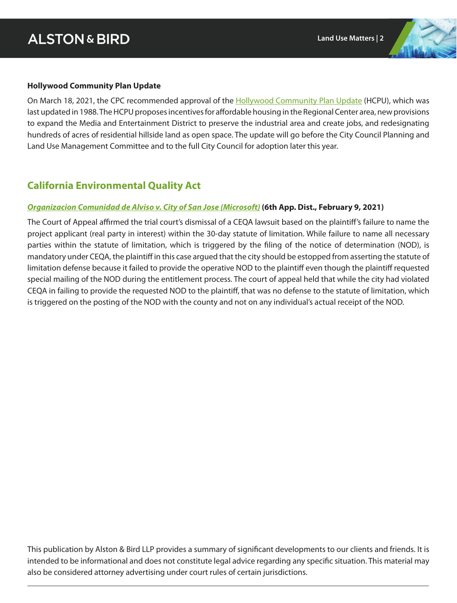#### **Hollywood Community Plan Update**

On March 18, 2021, the CPC recommended approval of the **Hollywood Community Plan Update** (HCPU), which was last updated in 1988. The HCPU proposes incentives for affordable housing in the Regional Center area, new provisions to expand the Media and Entertainment District to preserve the industrial area and create jobs, and redesignating hundreds of acres of residential hillside land as open space. The update will go before the City Council Planning and Land Use Management Committee and to the full City Council for adoption later this year.

#### **California Environmental Quality Act**

#### *[Organizacion Comunidad de Alviso v. City of San Jose \(Microsoft\)](http://sos.metnews.com/sos.cgi?0221//H046458)* **(6th App. Dist., February 9, 2021)**

The Court of Appeal affirmed the trial court's dismissal of a CEQA lawsuit based on the plaintiff's failure to name the project applicant (real party in interest) within the 30-day statute of limitation. While failure to name all necessary parties within the statute of limitation, which is triggered by the filing of the notice of determination (NOD), is mandatory under CEQA, the plaintiff in this case argued that the city should be estopped from asserting the statute of limitation defense because it failed to provide the operative NOD to the plaintiff even though the plaintiff requested special mailing of the NOD during the entitlement process. The court of appeal held that while the city had violated CEQA in failing to provide the requested NOD to the plaintiff, that was no defense to the statute of limitation, which is triggered on the posting of the NOD with the county and not on any individual's actual receipt of the NOD.

This publication by Alston & Bird LLP provides a summary of significant developments to our clients and friends. It is intended to be informational and does not constitute legal advice regarding any specific situation. This material may also be considered attorney advertising under court rules of certain jurisdictions.